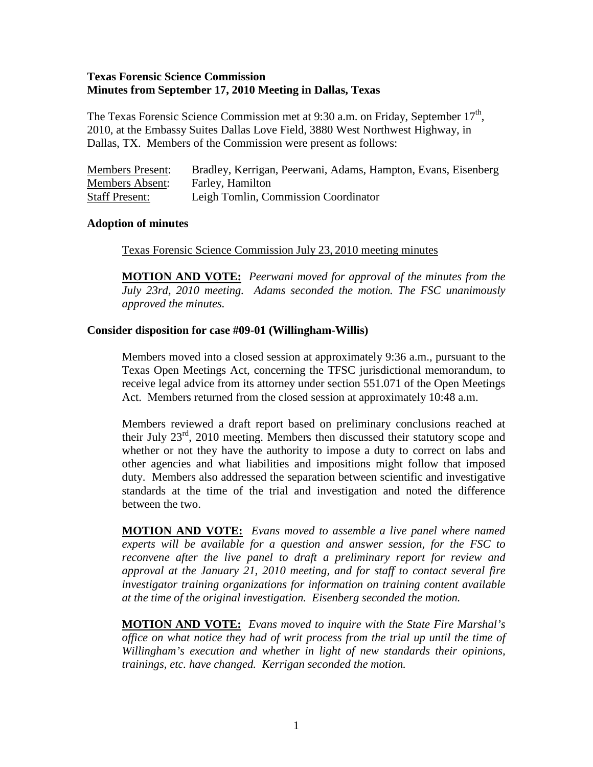### **Texas Forensic Science Commission Minutes from September 17, 2010 Meeting in Dallas, Texas**

The Texas Forensic Science Commission met at 9:30 a.m. on Friday, September  $17<sup>th</sup>$ , 2010, at the Embassy Suites Dallas Love Field, 3880 West Northwest Highway, in Dallas, TX. Members of the Commission were present as follows:

| <b>Members Present:</b> | Bradley, Kerrigan, Peerwani, Adams, Hampton, Evans, Eisenberg |
|-------------------------|---------------------------------------------------------------|
| <b>Members Absent:</b>  | Farley, Hamilton                                              |
| <b>Staff Present:</b>   | Leigh Tomlin, Commission Coordinator                          |

### **Adoption of minutes**

Texas Forensic Science Commission July 23, 2010 meeting minutes

**MOTION AND VOTE:** *Peerwani moved for approval of the minutes from the July 23rd, 2010 meeting. Adams seconded the motion. The FSC unanimously approved the minutes.* 

### **Consider disposition for case #09-01 (Willingham-Willis)**

Members moved into a closed session at approximately 9:36 a.m., pursuant to the Texas Open Meetings Act, concerning the TFSC jurisdictional memorandum, to receive legal advice from its attorney under section 551.071 of the Open Meetings Act. Members returned from the closed session at approximately 10:48 a.m.

Members reviewed a draft report based on preliminary conclusions reached at their July 23rd, 2010 meeting. Members then discussed their statutory scope and whether or not they have the authority to impose a duty to correct on labs and other agencies and what liabilities and impositions might follow that imposed duty. Members also addressed the separation between scientific and investigative standards at the time of the trial and investigation and noted the difference between the two.

**MOTION AND VOTE:** *Evans moved to assemble a live panel where named experts will be available for a question and answer session, for the FSC to reconvene after the live panel to draft a preliminary report for review and approval at the January 21, 2010 meeting, and for staff to contact several fire investigator training organizations for information on training content available at the time of the original investigation. Eisenberg seconded the motion.* 

**MOTION AND VOTE:** *Evans moved to inquire with the State Fire Marshal's office on what notice they had of writ process from the trial up until the time of Willingham's execution and whether in light of new standards their opinions, trainings, etc. have changed. Kerrigan seconded the motion.*